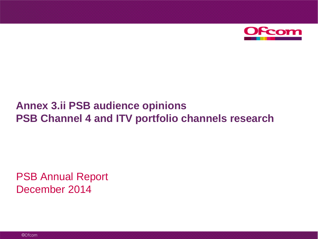

# **Annex 3.ii PSB audience opinions PSB Channel 4 and ITV portfolio channels research**

PSB Annual Report December 2014

©Ofcom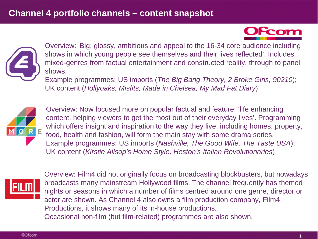



Overview: 'Big, glossy, ambitious and appeal to the 16-34 core audience including shows in which young people see themselves and their lives reflected'. Includes mixed-genres from factual entertainment and constructed reality, through to panel shows.

Example programmes: US imports (*The Big Bang Theory, 2 Broke Girls, 90210*); UK content (*Hollyoaks, Misfits, Made in Chelsea, My Mad Fat Diary*)



Overview: Now focused more on popular factual and feature: 'life enhancing content, helping viewers to get the most out of their everyday lives'. Programming which offers insight and inspiration to the way they live, including homes, property, food, health and fashion, will form the main stay with some drama series. Example programmes: US imports (*Nashville, The Good Wife, The Taste USA*); UK content (*Kirstie Allsop's Home Style, Heston's Italian Revolutionaries*)



Overview: Film4 did not originally focus on broadcasting blockbusters, but nowadays broadcasts many mainstream Hollywood films. The channel frequently has themed nights or seasons in which a number of films centred around one genre, director or actor are shown. As Channel 4 also owns a film production company, Film4 Productions, it shows many of its in-house productions. Occasional non-film (but film-related) programmes are also shown.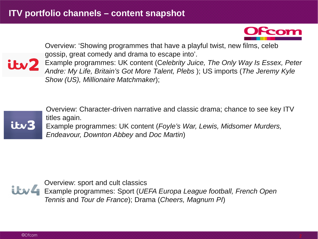

Overview: 'Showing programmes that have a playful twist, new films, celeb gossip, great comedy and drama to escape into'.

Example programmes: UK content (Celebrity Juice, The Only Way Is Essex, Peter **is the content of the Content of Times** *Andre: My Life, Britain's Got More Talent, Plebs* ); US imports (*The Jeremy Kyle Show (US), Millionaire Matchmaker*);



Overview: Character-driven narrative and classic drama; chance to see key ITV titles again. Example programmes: UK content (*Foyle's War, Lewis, Midsomer Murders, Endeavour, Downton Abbey* and *Doc Martin*)



Overview: sport and cult classics Example programmes: Sport (*UEFA Europa League football, French Open Tennis* and *Tour de France*); Drama (*Cheers, Magnum PI*)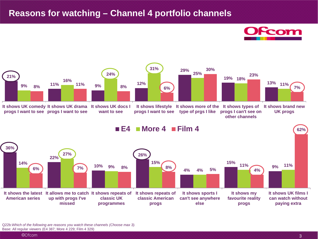### **Reasons for watching – Channel 4 portfolio channels**





**progs I can't see on other channels**



**62%**

**E4 More 4 Film 4**



Q22b:*Which of the following are reasons you watch these channels (Choose max 3).* Base: All regular viewers (E4 387; More 4 229; Film 4 329)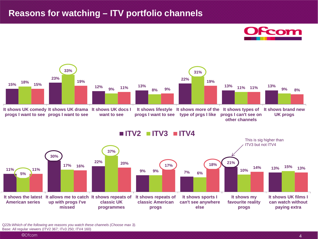#### **Reasons for watching – ITV portfolio channels**





**other channels**



Q22b:*Whiich of the following are reasons you watch these channels (Choose max 3).* Base: All regular viewers (ITV2 367; ITv3 250; ITV4 160)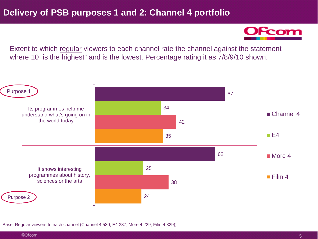Fcom

Extent to which regular viewers to each channel rate the channel against the statement where 10 is the highest" and is the lowest. Percentage rating it as  $7/8/9/10$  shown.



Base: Regular viewers to each channel (Channel 4 530; E4 387; More 4 229; Film 4 329))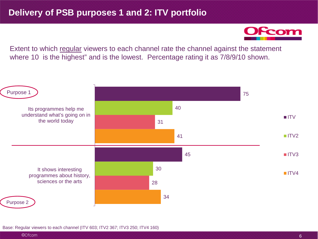Fcom

Extent to which regular viewers to each channel rate the channel against the statement where 10 is the highest" and is the lowest. Percentage rating it as 7/8/9/10 shown.



Base: Regular viewers to each channel (ITV 603; ITV2 367; ITV3 250; ITV4 160)

©Ofcom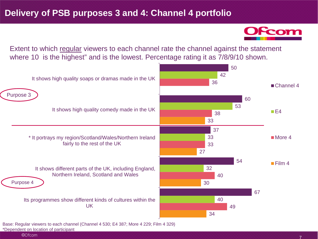From

Extent to which regular viewers to each channel rate the channel against the statement where 10 is the highest" and is the lowest. Percentage rating it as  $7/8/9/10$  shown.

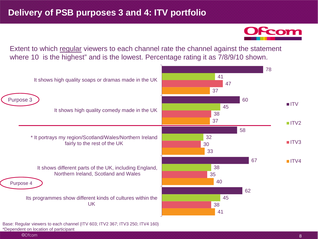Extent to which regular viewers to each channel rate the channel against the statement where 10 is the highest" and is the lowest. Percentage rating it as  $7/8/9/10$  shown.



\*Dependent on location of participant

©Ofcom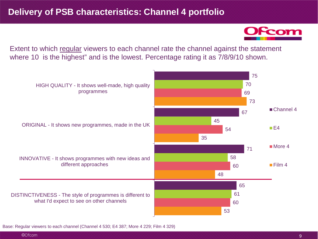Extent to which regular viewers to each channel rate the channel against the statement where 10 is the highest" and is the lowest. Percentage rating it as  $7/8/9/10$  shown.



Base: Regular viewers to each channel (Channel 4 530; E4 387; More 4 229; Film 4 329)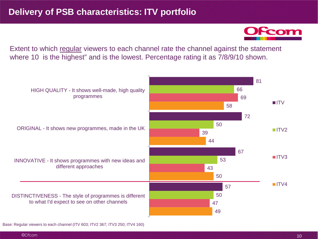Extent to which regular viewers to each channel rate the channel against the statement where 10 is the highest" and is the lowest. Percentage rating it as  $7/8/9/10$  shown.



Base: Regular viewers to each channel (ITV 603; ITV2 367; ITV3 250; ITV4 160)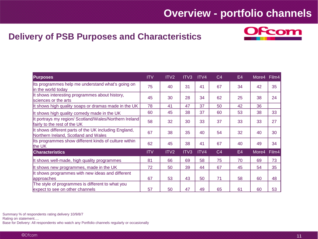## **Overview - portfolio channels**

### **Delivery of PSB Purposes and Characteristics**



| <b>Purposes</b>                                                                               | <b>ITV</b> | ITV <sub>2</sub> | ITV <sub>3</sub> | ITV4 | C <sub>4</sub> | E4 | More4 | Film4 |
|-----------------------------------------------------------------------------------------------|------------|------------------|------------------|------|----------------|----|-------|-------|
| Its programmes help me understand what's going on<br>in the world today                       | 75         | 40               | 31               | 41   | 67             | 34 | 42    | 35    |
| It shows interesting programmes about history,<br>sciences or the arts                        | 45         | 30               | 28               | 34   | 62             | 25 | 38    | 24    |
| It shows high quality soaps or dramas made in the UK                                          | 78         | 41               | 47               | 37   | 50             | 42 | 36    |       |
| It shows high quality comedy made in the UK                                                   | 60         | 45               | 38               | 37   | 60             | 53 | 38    | 33    |
| It portrays my region/ Scotland/Wales/Northern Ireland<br>fairly to the rest of the UK        | 58         | 32               | 30               | 33   | 37             | 33 | 33    | 27    |
| It shows different parts of the UK including England,<br>Northern Ireland, Scotland and Wales | 67         | 38               | 35               | 40   | 54             | 32 | 40    | 30    |
| Its programmes show different kinds of culture within<br>the UK                               | 62         | 45               | 38               | 41   | 67             | 40 | 49    | 34    |
| <b>Characteristics</b>                                                                        | <b>ITV</b> | ITV <sub>2</sub> | ITV3             | ITV4 | C <sub>4</sub> | E4 | More4 | Film4 |
| It shows well-made, high quality programmes                                                   | 81         | 66               | 69               | 58   | 75             | 70 | 69    | 73    |
| It shows new programmes, made in the UK                                                       | 72         | 50               | 39               | 44   | 67             | 45 | 54    | 35    |
| It shows programmes with new ideas and different<br><b>approaches</b>                         | 67         | 53               | 43               | 50   | 71             | 58 | 60    | 48    |
| The style of programmes is different to what you<br>expect to see on other channels           | 57         | 50               | 47               | 49   | 65             | 61 | 60    | 53    |

Summary % of respondents rating delivery 10/9/8/7

Rating on statement….

Base for Delivery: All respondents who watch any Portfolio channels regularly or occasionally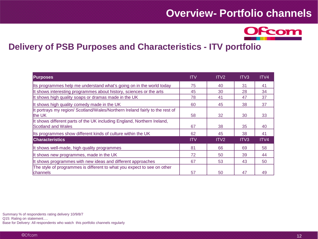## **Overview- Portfolio channels**



### **Delivery of PSB Purposes and Characteristics - ITV portfolio**

| <b>Purposes</b>                                                                                      | <b>ITV</b> | ITV <sub>2</sub> | ITV <sub>3</sub> | ITV4 |
|------------------------------------------------------------------------------------------------------|------------|------------------|------------------|------|
| Its programmes help me understand what's going on in the world today                                 | 75         | 40               | 31               | 41   |
| It shows interesting programmes about history, sciences or the arts                                  | 45         | 30               | 28               | 34   |
| It shows high quality soaps or dramas made in the UK                                                 | 78         | 41               | 47               | 37   |
| It shows high quality comedy made in the UK                                                          | 60         | 45               | 38               | 37   |
| It portrays my region/ Scotland/Wales/Northern Ireland fairly to the rest of<br>the UK               | 58         | 32               | 30               | 33   |
| It shows different parts of the UK including England, Northern Ireland,<br><b>Scotland and Wales</b> | 67         | 38               | 35               | 40   |
| Its programmes show different kinds of culture within the UK                                         | 62         | 45               | 38               | 41   |
| <b>Characteristics</b>                                                                               | <b>ITV</b> | ITV <sub>2</sub> | ITV <sub>3</sub> | ITV4 |
| It shows well-made, high quality programmes                                                          | 81         | 66               | 69               | 58   |
| It shows new programmes, made in the UK                                                              | 72         | 50               | 39               | 44   |
| It shows programmes with new ideas and different approaches                                          | 67         | 53               | 43               | 50   |
| The style of programmes is different to what you expect to see on other<br>channels                  | 57         | 50               | 47               | 49   |

Summary % of respondents rating delivery 10/9/8/7 Q15: Rating on statement….

Base for Delivery: All respondents who watch this portfolio channels regularly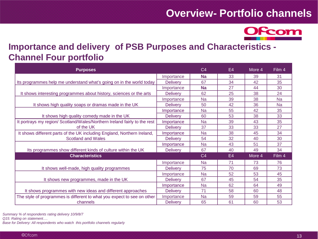## **Overview- Portfolio channels**



## **Importance and delivery of PSB Purposes and Characteristics - Channel Four portfolio**

| <b>Purposes</b>                                                           |                 | C <sub>4</sub> | E <sub>4</sub> | More 4 | Film 4    |
|---------------------------------------------------------------------------|-----------------|----------------|----------------|--------|-----------|
|                                                                           | Importance      | <b>Na</b>      | 33             | 39     | 31        |
| Its programmes help me understand what's going on in the world today      | <b>Delivery</b> | 67             | 34             | 42     | 35        |
|                                                                           | Importance      | <b>Na</b>      | 27             | 44     | 30        |
| It shows interesting programmes about history, sciences or the arts       | <b>Delivery</b> | 62             | 25             | 38     | 24        |
|                                                                           | Importance      | Na             | 39             | 38     | <b>Na</b> |
| It shows high quality soaps or dramas made in the UK                      | <b>Delivery</b> | 50             | 42             | 36     | <b>Na</b> |
|                                                                           | Importance      | Nа             | 55             | 42     | 35        |
| It shows high quality comedy made in the UK                               | <b>Delivery</b> | 60             | 53             | 38     | 33        |
| It portrays my region/ Scotland/Wales/Northern Ireland fairly to the rest | Importance      | <b>Na</b>      | 39             | 43     | 35        |
| of the UK                                                                 | <b>Delivery</b> | 37             | 33             | 33     | 27        |
| It shows different parts of the UK including England, Northern Ireland,   | Importance      | <b>Na</b>      | 38             | 45     | 34        |
| <b>Scotland and Wales</b>                                                 | <b>Delivery</b> | 54             | 32             | 40     | 30        |
|                                                                           | Importance      | <b>Na</b>      | 43             | 51     | 37        |
| Its programmes show different kinds of culture within the UK              | <b>Delivery</b> | 67             | 40             | 49     | 34        |
| <b>Characteristics</b>                                                    |                 | C <sub>4</sub> | E4             | More 4 | Film 4    |
|                                                                           | Importance      | <b>Na</b>      | 71             | 73     | 76        |
| It shows well-made, high quality programmes                               | <b>Delivery</b> | 75             | 70             | 69     | 73        |
|                                                                           | Importance      | <b>Na</b>      | 52             | 53     | 45        |
| It shows new programmes, made in the UK                                   | <b>Delivery</b> | 67             | 45             | 54     | 35        |
|                                                                           | Importance      | <b>Na</b>      | 62             | 64     | 49        |
| It shows programmes with new ideas and different approaches               | <b>Delivery</b> | 71             | 58             | 60     | 48        |
| The style of programmes is different to what you expect to see on other   | Importance      | <b>Na</b>      | 59             | 59     | 55        |
| channels                                                                  | <b>Delivery</b> | 65             | 61             | 60     | 53        |

*Summary % of respondents rating delivery 10/9/8/7*

*Q15: Rating on statement….*

*Base for Delivery: All respondents who watch this portfolio channels regularly*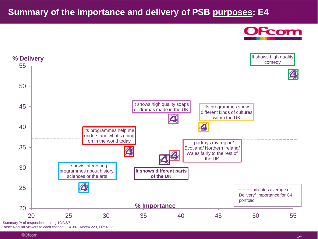### **Summary of the importance and delivery of PSB purposes: E4**





Summary % of respondents rating 10/9/8/7

Base: Regular viewers to each channel (E4 387, More4 229, Film4 329)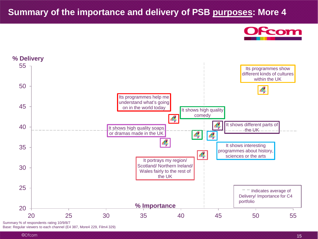### **Summary of the importance and delivery of PSB purposes: More 4**





Summary % of respondents rating 10/9/8/7 Base: Regular viewers to each channel (E4 387, More4 229, Film4 329)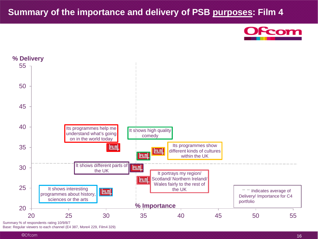### **Summary of the importance and delivery of PSB purposes: Film 4**





Summary % of respondents rating 10/9/8/7

Base: Regular viewers to each channel (E4 387, More4 229, Film4 329)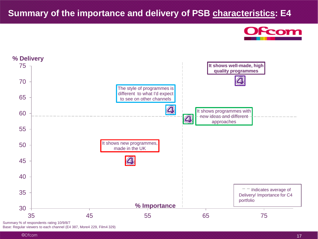### **Summary of the importance and delivery of PSB characteristics: E4**





Summary % of respondents rating 10/9/8/7 Base: Regular viewers to each channel (E4 387, More4 229, Film4 329)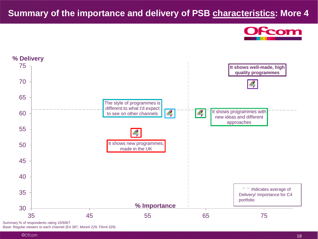### **Summary of the importance and delivery of PSB characteristics: More 4**





Summary % of respondents rating 10/9/8/7 Base: Regular viewers to each channel (E4 387, More4 229, Film4 329)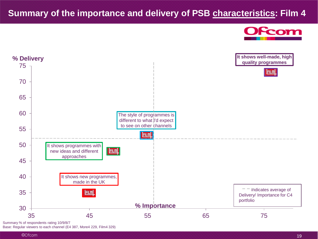### **Summary of the importance and delivery of PSB characteristics: Film 4**





Summary % of respondents rating 10/9/8/7

Base: Regular viewers to each channel (E4 387, More4 229, Film4 329)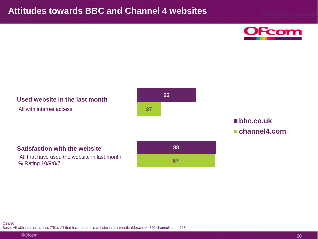

#### **Used website in the last month**

All with internet access



#### **bbc.co.uk channel4.com**

#### **Satisfaction with the website**

All that have used the website in last month % Rating 10/9/8/7